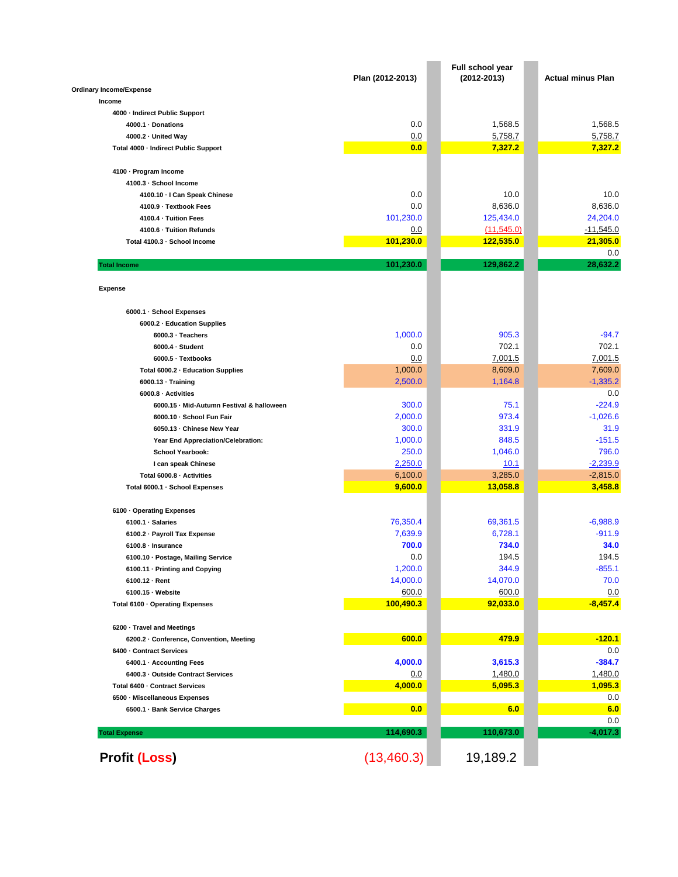|                                           | Plan (2012-2013) | Full school year<br>$(2012 - 2013)$ | <b>Actual minus Plan</b> |
|-------------------------------------------|------------------|-------------------------------------|--------------------------|
| <b>Ordinary Income/Expense</b>            |                  |                                     |                          |
| Income                                    |                  |                                     |                          |
| 4000 - Indirect Public Support            |                  |                                     |                          |
| 4000.1 · Donations                        | 0.0              | 1,568.5                             | 1.568.5                  |
| 4000.2 · United Way                       | 0.0              | 5,758.7                             | 5,758.7                  |
| Total 4000 - Indirect Public Support      | 0.0              | 7,327.2                             | 7,327.2                  |
| 4100 · Program Income                     |                  |                                     |                          |
| 4100.3 · School Income                    |                  |                                     |                          |
| 4100.10 - I Can Speak Chinese             | 0.0              | 10.0                                | 10.0                     |
| 4100.9 - Textbook Fees                    | 0.0              | 8,636.0                             | 8,636.0                  |
| 4100.4 · Tuition Fees                     | 101,230.0        | 125,434.0                           | 24,204.0                 |
| 4100.6 - Tuition Refunds                  | 0.0              | (11, 545.0)                         | $-11,545.0$              |
| Total 4100.3 · School Income              | 101,230.0        | 122,535.0                           | 21,305.0                 |
| <b>Total Income</b>                       | 101,230.0        | 129,862.2                           | 0.0<br>28,632.2          |
| <b>Expense</b>                            |                  |                                     |                          |
|                                           |                  |                                     |                          |
| 6000.1 · School Expenses                  |                  |                                     |                          |
| 6000.2 - Education Supplies               |                  |                                     |                          |
| 6000.3 · Teachers                         | 1,000.0          | 905.3                               | $-94.7$                  |
| $6000.4 \cdot Student$                    | 0.0              | 702.1                               | 702.1                    |
| 6000.5 · Textbooks                        | 0.0              | 7,001.5                             | 7,001.5                  |
| Total 6000.2 - Education Supplies         | 1,000.0          | 8,609.0                             | 7,609.0                  |
| 6000.13 · Training                        | 2,500.0          | 1,164.8                             | $-1,335.2$               |
| 6000.8 - Activities                       |                  |                                     | 0.0                      |
| 6000.15 · Mid-Autumn Festival & halloween | 300.0            | 75.1                                | $-224.9$                 |
| 6000.10 · School Fun Fair                 | 2,000.0          | 973.4                               | $-1,026.6$               |
| 6050.13 - Chinese New Year                | 300.0            | 331.9                               | 31.9                     |
| Year End Appreciation/Celebration:        | 1,000.0          | 848.5                               | $-151.5$                 |
| School Yearbook:                          | 250.0            | 1,046.0                             | 796.0                    |
| I can speak Chinese                       | 2,250.0          | 10.1                                | $-2,239.9$               |
| Total 6000.8 - Activities                 | 6,100.0          | 3,285.0                             | $-2,815.0$               |
| Total 6000.1 · School Expenses            | 9,600.0          | 13,058.8                            | 3,458.8                  |
| 6100 · Operating Expenses                 |                  |                                     |                          |
| 6100.1 · Salaries                         | 76,350.4         | 69,361.5                            | $-6,988.9$               |
| 6100.2 - Payroll Tax Expense              | 7,639.9          | 6,728.1                             | $-911.9$                 |
| $6100.8 \cdot$ Insurance                  | 700.0            | 734.0                               | 34.0                     |
| 6100.10 · Postage, Mailing Service        | 0.0              | 194.5                               | 194.5                    |
| 6100.11 - Printing and Copying            | 1,200.0          | 344.9                               | $-855.1$                 |
| 6100.12 · Rent                            | 14,000.0         | 14,070.0                            | 70.0                     |
| 6100.15 · Website                         | 600.0            | 600.0                               | 0.0                      |
| Total 6100 · Operating Expenses           | 100,490.3        | 92,033.0                            | $-8,457.4$               |
| 6200 · Travel and Meetings                |                  |                                     |                          |
| 6200.2 · Conference, Convention, Meeting  | 600.0            | 479.9                               | $-120.1$                 |
| 6400 - Contract Services                  |                  |                                     | 0.0                      |
| 6400.1 · Accounting Fees                  | 4,000.0          | 3,615.3                             | $-384.7$                 |
| 6400.3 - Outside Contract Services        | <u>0.0</u>       | 1,480.0                             | 1,480.0                  |
| Total 6400 - Contract Services            | 4,000.0          | 5,095.3                             | 1,095.3                  |
| 6500 - Miscellaneous Expenses             |                  |                                     | 0.0                      |
| 6500.1 · Bank Service Charges             | 0.0              | 6.0                                 | 6.0                      |
|                                           |                  |                                     | 0.0                      |
|                                           |                  |                                     |                          |
| <b>Total Expense</b>                      | 114,690.3        | 110,673.0                           | $-4,017.3$               |